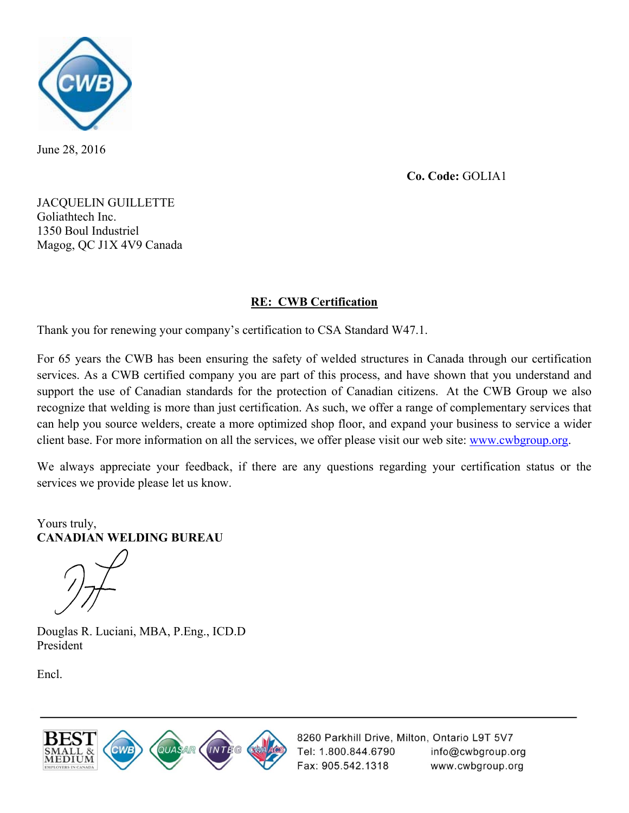

June 28, 2016

**Co. Code:** GOLIA1

JACQUELIN GUILLETTE Goliathtech Inc. 1350 Boul Industriel Magog, QC J1X 4V9 Canada

#### **RE: CWB Certification**

Thank you for renewing your company's certification to CSA Standard W47.1.

For 65 years the CWB has been ensuring the safety of welded structures in Canada through our certification services. As a CWB certified company you are part of this process, and have shown that you understand and support the use of Canadian standards for the protection of Canadian citizens. At the CWB Group we also recognize that welding is more than just certification. As such, we offer a range of complementary services that can help you source welders, create a more optimized shop floor, and expand your business to service a wider client base. For more information on all the services, we offer please visit our web site: www.cwbgroup.org.

We always appreciate your feedback, if there are any questions regarding your certification status or the services we provide please let us know.

Yours truly, **CANADIAN WELDING BUREAU** 

Douglas R. Luciani, MBA, P.Eng., ICD.D President

Encl.



 info@cwbgroup.org Fax: 905.542.1318 www.cwbgroup.org